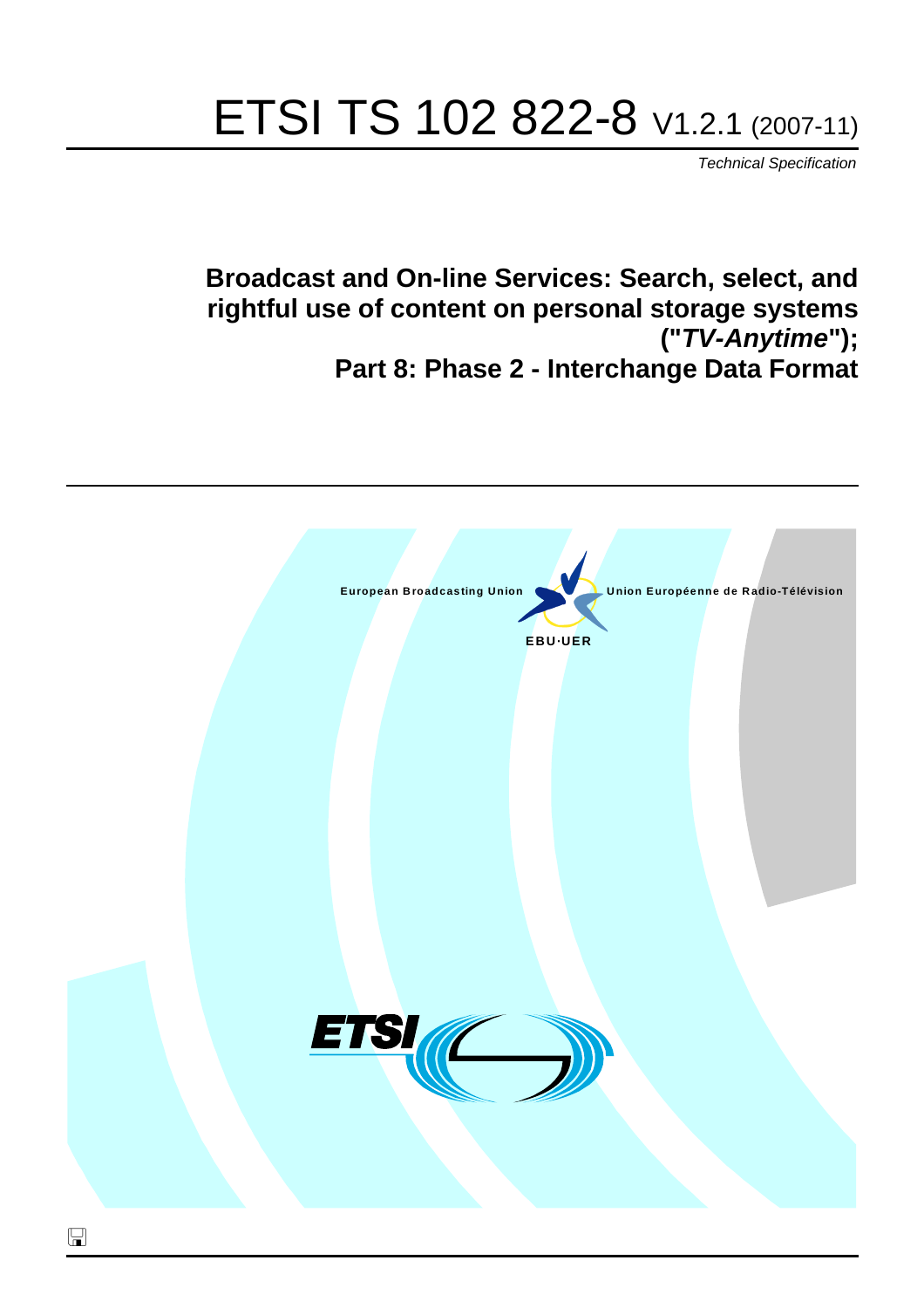# ETSI TS 102 822-8 V1.2.1 (2007-11)

*Technical Specification*

**Broadcast and On-line Services: Search, select, and rightful use of content on personal storage systems ("***TV-Anytime***"); Part 8: Phase 2 - Interchange Data Format**

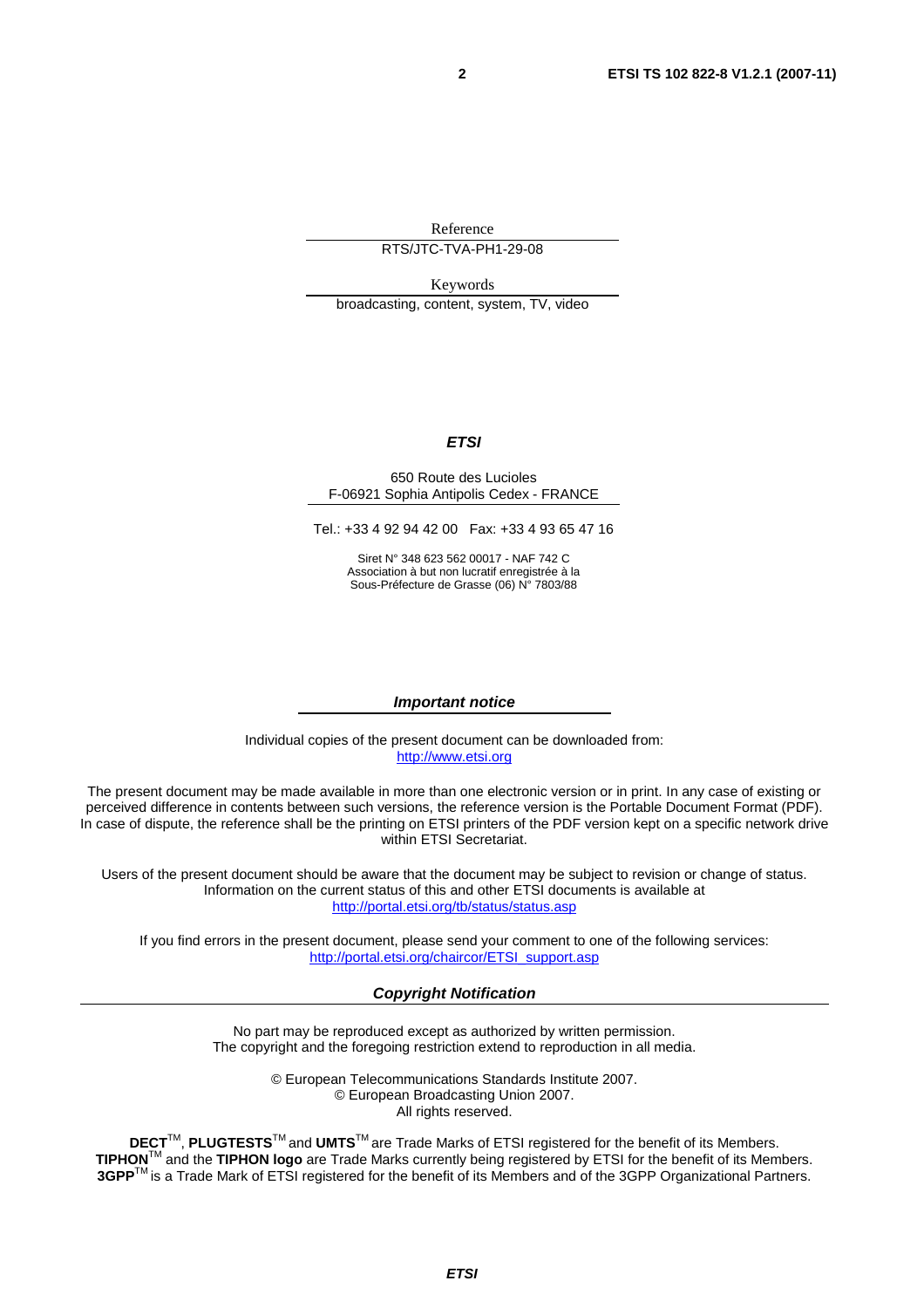Reference

RTS/JTC-TVA-PH1-29-08

Keywords broadcasting, content, system, TV, video

#### *ETSI*

#### 650 Route des Lucioles F-06921 Sophia Antipolis Cedex - FRANCE

Tel.: +33 4 92 94 42 00 Fax: +33 4 93 65 47 16

Siret N° 348 623 562 00017 - NAF 742 C Association à but non lucratif enregistrée à la Sous-Préfecture de Grasse (06) N° 7803/88

#### *Important notice*

Individual copies of the present document can be downloaded from: [http://www.etsi.org](http://www.etsi.org/)

The present document may be made available in more than one electronic version or in print. In any case of existing or perceived difference in contents between such versions, the reference version is the Portable Document Format (PDF). In case of dispute, the reference shall be the printing on ETSI printers of the PDF version kept on a specific network drive within ETSI Secretariat.

Users of the present document should be aware that the document may be subject to revision or change of status. Information on the current status of this and other ETSI documents is available at <http://portal.etsi.org/tb/status/status.asp>

If you find errors in the present document, please send your comment to one of the following services: [http://portal.etsi.org/chaircor/ETSI\\_support.asp](http://portal.etsi.org/chaircor/ETSI_support.asp)

#### *Copyright Notification*

No part may be reproduced except as authorized by written permission. The copyright and the foregoing restriction extend to reproduction in all media.

> © European Telecommunications Standards Institute 2007. © European Broadcasting Union 2007. All rights reserved.

**DECT**TM, **PLUGTESTS**TM and **UMTS**TM are Trade Marks of ETSI registered for the benefit of its Members. **TIPHON**TM and the **TIPHON logo** are Trade Marks currently being registered by ETSI for the benefit of its Members. **3GPP**TM is a Trade Mark of ETSI registered for the benefit of its Members and of the 3GPP Organizational Partners.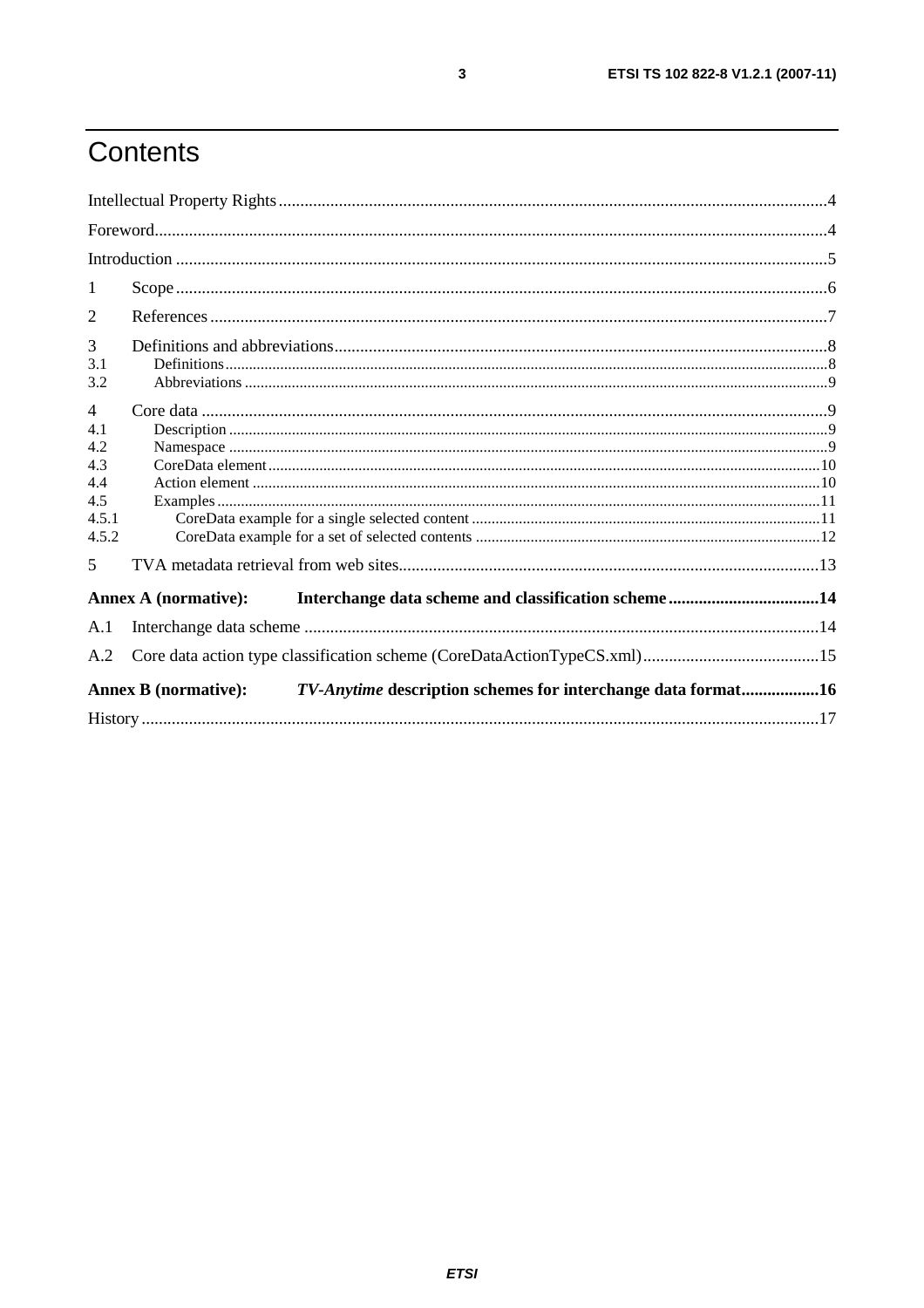# Contents

| 1              |                                                                                             |  |  |  |
|----------------|---------------------------------------------------------------------------------------------|--|--|--|
| 2              |                                                                                             |  |  |  |
| 3              |                                                                                             |  |  |  |
| 3.1<br>3.2     |                                                                                             |  |  |  |
| $\overline{4}$ |                                                                                             |  |  |  |
| 4.1            |                                                                                             |  |  |  |
| 4.2            |                                                                                             |  |  |  |
| 4.3            |                                                                                             |  |  |  |
| 4.4<br>4.5     |                                                                                             |  |  |  |
| 4.5.1          |                                                                                             |  |  |  |
| 4.5.2          |                                                                                             |  |  |  |
| 5              |                                                                                             |  |  |  |
|                | <b>Annex A (normative):</b>                                                                 |  |  |  |
| A.1            |                                                                                             |  |  |  |
| A.2            |                                                                                             |  |  |  |
|                | TV-Anytime description schemes for interchange data format16<br><b>Annex B</b> (normative): |  |  |  |
|                |                                                                                             |  |  |  |

 $\mathbf{3}$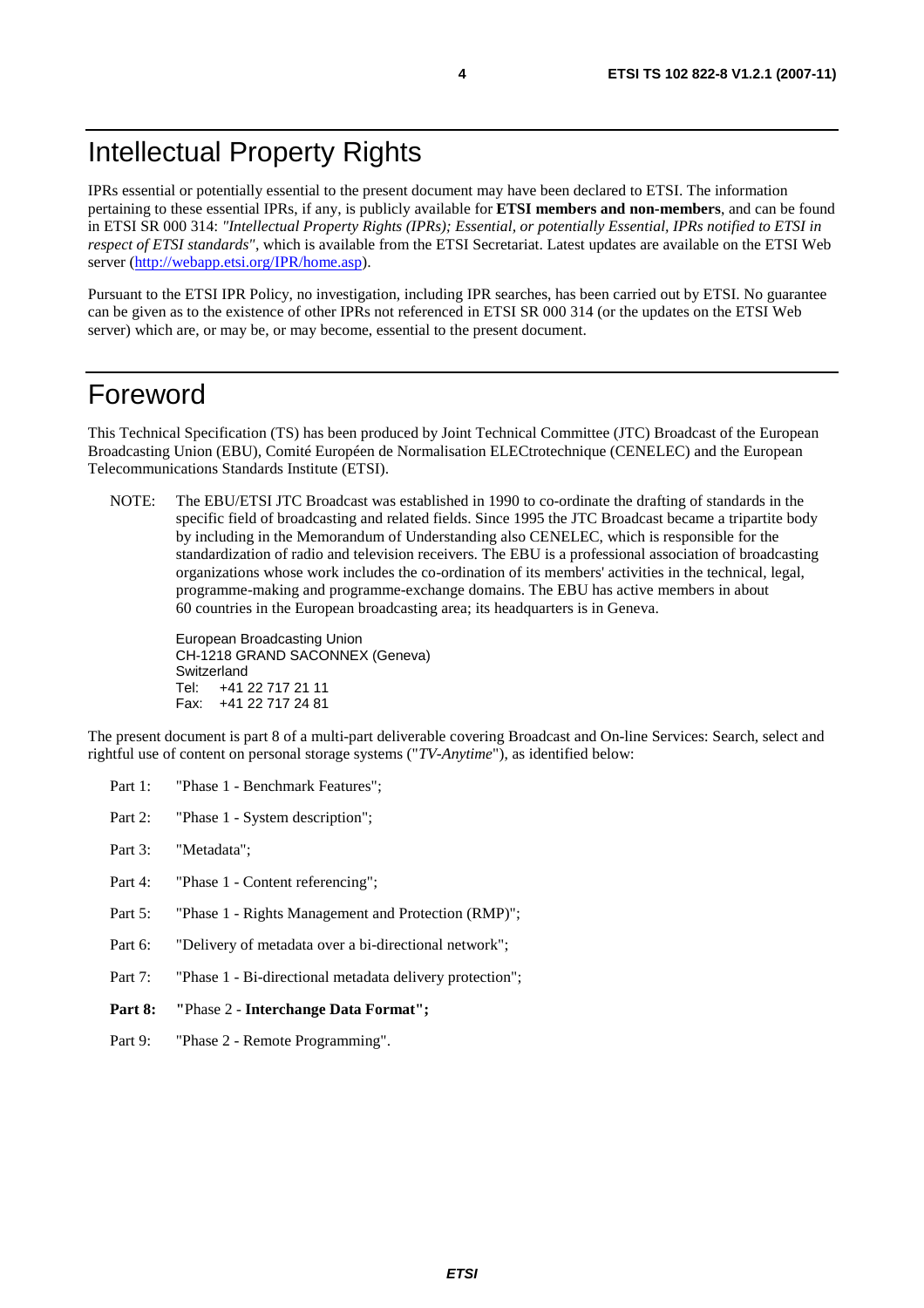### Intellectual Property Rights

IPRs essential or potentially essential to the present document may have been declared to ETSI. The information pertaining to these essential IPRs, if any, is publicly available for **ETSI members and non-members**, and can be found in ETSI SR 000 314: *"Intellectual Property Rights (IPRs); Essential, or potentially Essential, IPRs notified to ETSI in respect of ETSI standards"*, which is available from the ETSI Secretariat. Latest updates are available on the ETSI Web server ([http://webapp.etsi.org/IPR/home.asp\)](http://webapp.etsi.org/IPR/home.asp).

Pursuant to the ETSI IPR Policy, no investigation, including IPR searches, has been carried out by ETSI. No guarantee can be given as to the existence of other IPRs not referenced in ETSI SR 000 314 (or the updates on the ETSI Web server) which are, or may be, or may become, essential to the present document.

#### Foreword

This Technical Specification (TS) has been produced by Joint Technical Committee (JTC) Broadcast of the European Broadcasting Union (EBU), Comité Européen de Normalisation ELECtrotechnique (CENELEC) and the European Telecommunications Standards Institute (ETSI).

NOTE: The EBU/ETSI JTC Broadcast was established in 1990 to co-ordinate the drafting of standards in the specific field of broadcasting and related fields. Since 1995 the JTC Broadcast became a tripartite body by including in the Memorandum of Understanding also CENELEC, which is responsible for the standardization of radio and television receivers. The EBU is a professional association of broadcasting organizations whose work includes the co-ordination of its members' activities in the technical, legal, programme-making and programme-exchange domains. The EBU has active members in about 60 countries in the European broadcasting area; its headquarters is in Geneva.

European Broadcasting Union CH-1218 GRAND SACONNEX (Geneva) Switzerland Tel: +41 22 717 21 11 Fax: +41 22 717 24 81

The present document is part 8 of a multi-part deliverable covering Broadcast and On-line Services: Search, select and rightful use of content on personal storage systems ("*TV-Anytime*"), as identified below:

- Part 1: "Phase 1 Benchmark Features":
- Part 2: "Phase 1 System description";
- Part 3: "Metadata";
- Part 4: "Phase 1 Content referencing":
- Part 5: "Phase 1 Rights Management and Protection (RMP)";
- Part 6: "Delivery of metadata over a bi-directional network";
- Part 7: "Phase 1 Bi-directional metadata delivery protection";
- **Part 8: "**Phase 2 **Interchange Data Format";**
- Part 9: "Phase 2 Remote Programming".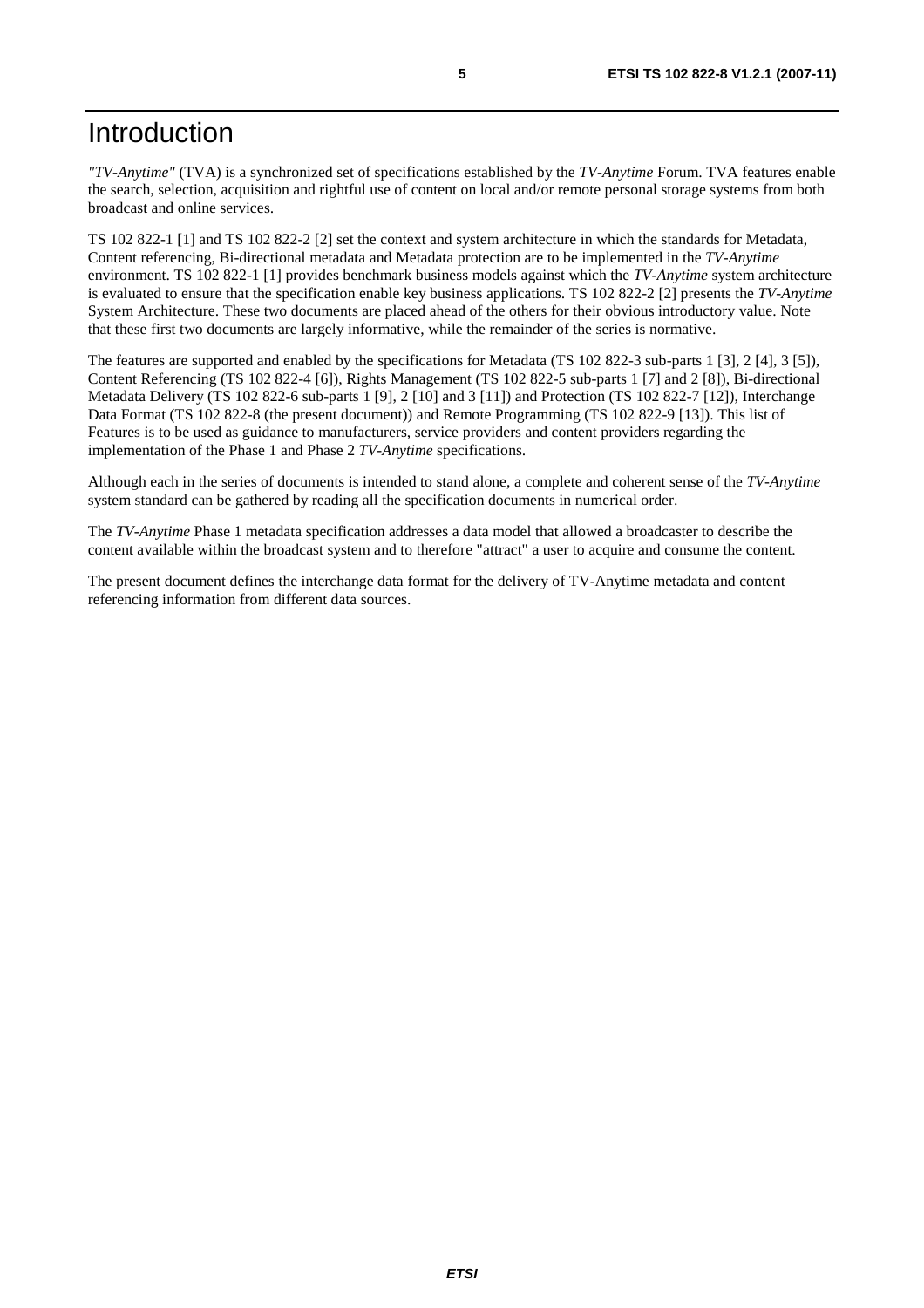### Introduction

*"TV-Anytime"* (TVA) is a synchronized set of specifications established by the *TV-Anytime* Forum. TVA features enable the search, selection, acquisition and rightful use of content on local and/or remote personal storage systems from both broadcast and online services.

TS 102 822-1 [1] and TS 102 822-2 [2] set the context and system architecture in which the standards for Metadata, Content referencing, Bi-directional metadata and Metadata protection are to be implemented in the *TV-Anytime* environment. TS 102 822-1 [1] provides benchmark business models against which the *TV-Anytime* system architecture is evaluated to ensure that the specification enable key business applications. TS 102 822-2 [2] presents the *TV-Anytime* System Architecture. These two documents are placed ahead of the others for their obvious introductory value. Note that these first two documents are largely informative, while the remainder of the series is normative.

The features are supported and enabled by the specifications for Metadata (TS 102 822-3 sub-parts 1 [3], 2 [4], 3 [5]), Content Referencing (TS 102 822-4 [6]), Rights Management (TS 102 822-5 sub-parts 1 [7] and 2 [8]), Bi-directional Metadata Delivery (TS 102 822-6 sub-parts 1 [9], 2 [10] and 3 [11]) and Protection (TS 102 822-7 [12]), Interchange Data Format (TS 102 822-8 (the present document)) and Remote Programming (TS 102 822-9 [13]). This list of Features is to be used as guidance to manufacturers, service providers and content providers regarding the implementation of the Phase 1 and Phase 2 *TV-Anytime* specifications.

Although each in the series of documents is intended to stand alone, a complete and coherent sense of the *TV-Anytime* system standard can be gathered by reading all the specification documents in numerical order.

The *TV-Anytime* Phase 1 metadata specification addresses a data model that allowed a broadcaster to describe the content available within the broadcast system and to therefore "attract" a user to acquire and consume the content.

The present document defines the interchange data format for the delivery of TV-Anytime metadata and content referencing information from different data sources.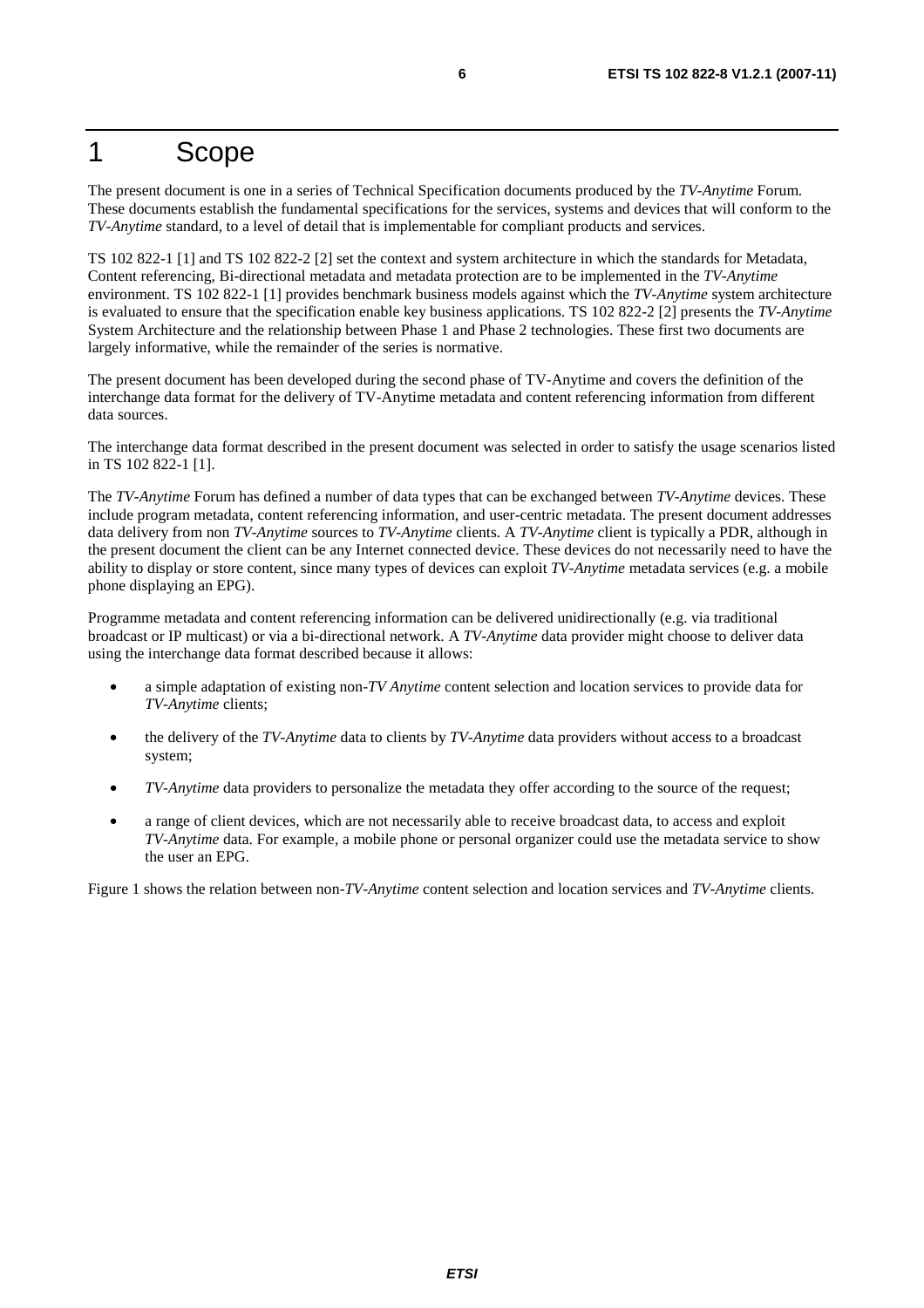#### 1 Scope

The present document is one in a series of Technical Specification documents produced by the *TV-Anytime* Forum. These documents establish the fundamental specifications for the services, systems and devices that will conform to the *TV-Anytime* standard, to a level of detail that is implementable for compliant products and services.

TS 102 822-1 [1] and TS 102 822-2 [2] set the context and system architecture in which the standards for Metadata, Content referencing, Bi-directional metadata and metadata protection are to be implemented in the *TV-Anytime* environment. TS 102 822-1 [1] provides benchmark business models against which the *TV-Anytime* system architecture is evaluated to ensure that the specification enable key business applications. TS 102 822-2 [2] presents the *TV-Anytime* System Architecture and the relationship between Phase 1 and Phase 2 technologies. These first two documents are largely informative, while the remainder of the series is normative.

The present document has been developed during the second phase of TV-Anytime and covers the definition of the interchange data format for the delivery of TV-Anytime metadata and content referencing information from different data sources.

The interchange data format described in the present document was selected in order to satisfy the usage scenarios listed in TS 102 822-1 [1].

The *TV-Anytime* Forum has defined a number of data types that can be exchanged between *TV-Anytime* devices. These include program metadata, content referencing information, and user-centric metadata. The present document addresses data delivery from non *TV-Anytime* sources to *TV-Anytime* clients. A *TV-Anytime* client is typically a PDR, although in the present document the client can be any Internet connected device. These devices do not necessarily need to have the ability to display or store content, since many types of devices can exploit *TV-Anytime* metadata services (e.g. a mobile phone displaying an EPG).

Programme metadata and content referencing information can be delivered unidirectionally (e.g. via traditional broadcast or IP multicast) or via a bi-directional network. A *TV-Anytime* data provider might choose to deliver data using the interchange data format described because it allows:

- a simple adaptation of existing non-*TV Anytime* content selection and location services to provide data for *TV-Anytime* clients;
- the delivery of the *TV-Anytime* data to clients by *TV-Anytime* data providers without access to a broadcast system;
- *TV-Anytime* data providers to personalize the metadata they offer according to the source of the request;
- a range of client devices, which are not necessarily able to receive broadcast data, to access and exploit *TV-Anytime* data. For example, a mobile phone or personal organizer could use the metadata service to show the user an EPG.

Figure 1 shows the relation between non-*TV-Anytime* content selection and location services and *TV-Anytime* clients.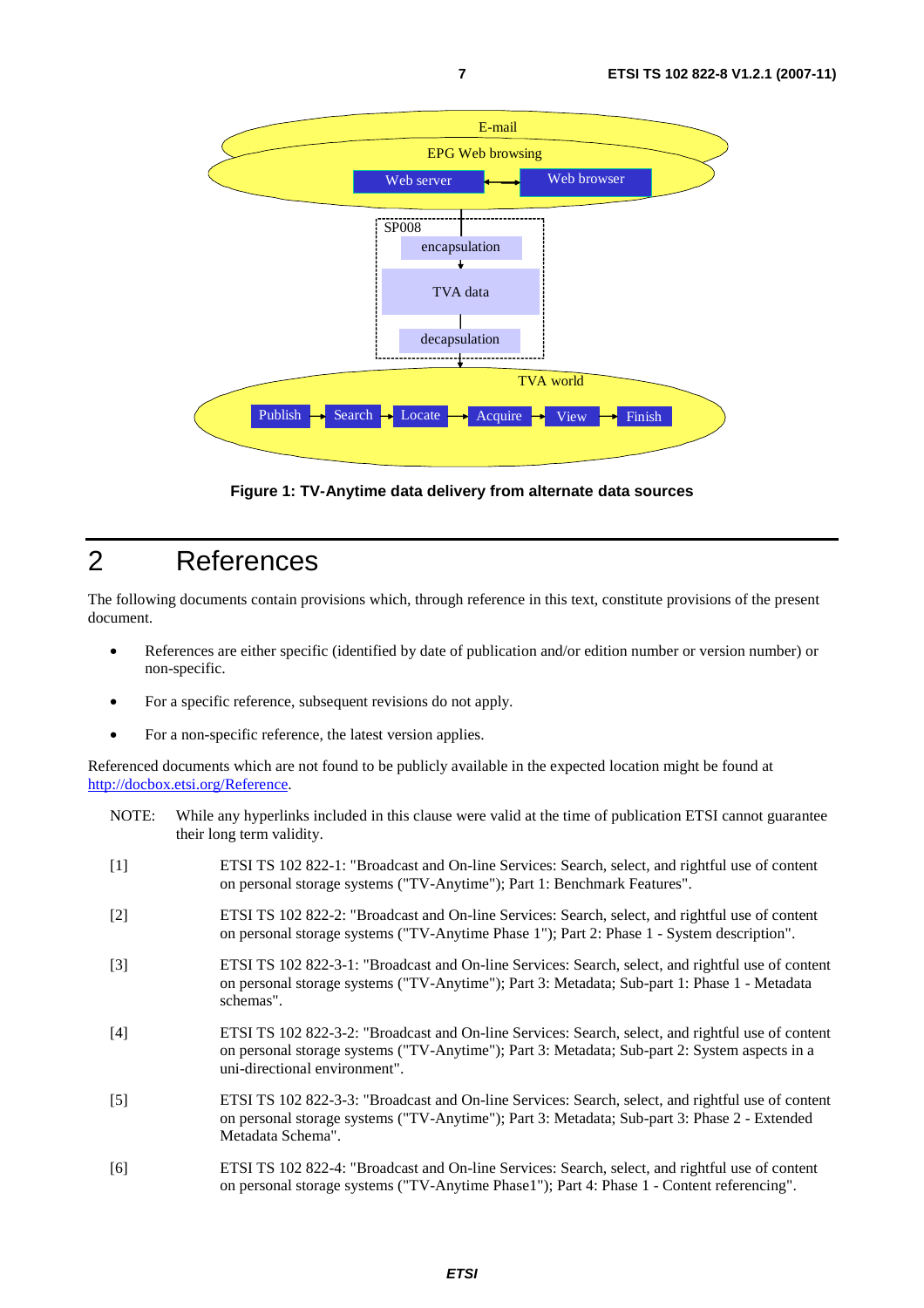

**Figure 1: TV-Anytime data delivery from alternate data sources** 

#### 2 References

The following documents contain provisions which, through reference in this text, constitute provisions of the present document.

- References are either specific (identified by date of publication and/or edition number or version number) or non-specific.
- For a specific reference, subsequent revisions do not apply.
- For a non-specific reference, the latest version applies.

Referenced documents which are not found to be publicly available in the expected location might be found at <http://docbox.etsi.org/Reference>.

- NOTE: While any hyperlinks included in this clause were valid at the time of publication ETSI cannot guarantee their long term validity.
- [1] ETSI TS 102 822-1: "Broadcast and On-line Services: Search, select, and rightful use of content on personal storage systems ("TV-Anytime"); Part 1: Benchmark Features".
- [2] ETSI TS 102 822-2: "Broadcast and On-line Services: Search, select, and rightful use of content on personal storage systems ("TV-Anytime Phase 1"); Part 2: Phase 1 - System description".
- [3] ETSI TS 102 822-3-1: "Broadcast and On-line Services: Search, select, and rightful use of content on personal storage systems ("TV-Anytime"); Part 3: Metadata; Sub-part 1: Phase 1 - Metadata schemas".
- [4] ETSI TS 102 822-3-2: "Broadcast and On-line Services: Search, select, and rightful use of content on personal storage systems ("TV-Anytime"); Part 3: Metadata; Sub-part 2: System aspects in a uni-directional environment".
- [5] ETSI TS 102 822-3-3: "Broadcast and On-line Services: Search, select, and rightful use of content on personal storage systems ("TV-Anytime"); Part 3: Metadata; Sub-part 3: Phase 2 - Extended Metadata Schema".
- [6] ETSI TS 102 822-4: "Broadcast and On-line Services: Search, select, and rightful use of content on personal storage systems ("TV-Anytime Phase1"); Part 4: Phase 1 - Content referencing".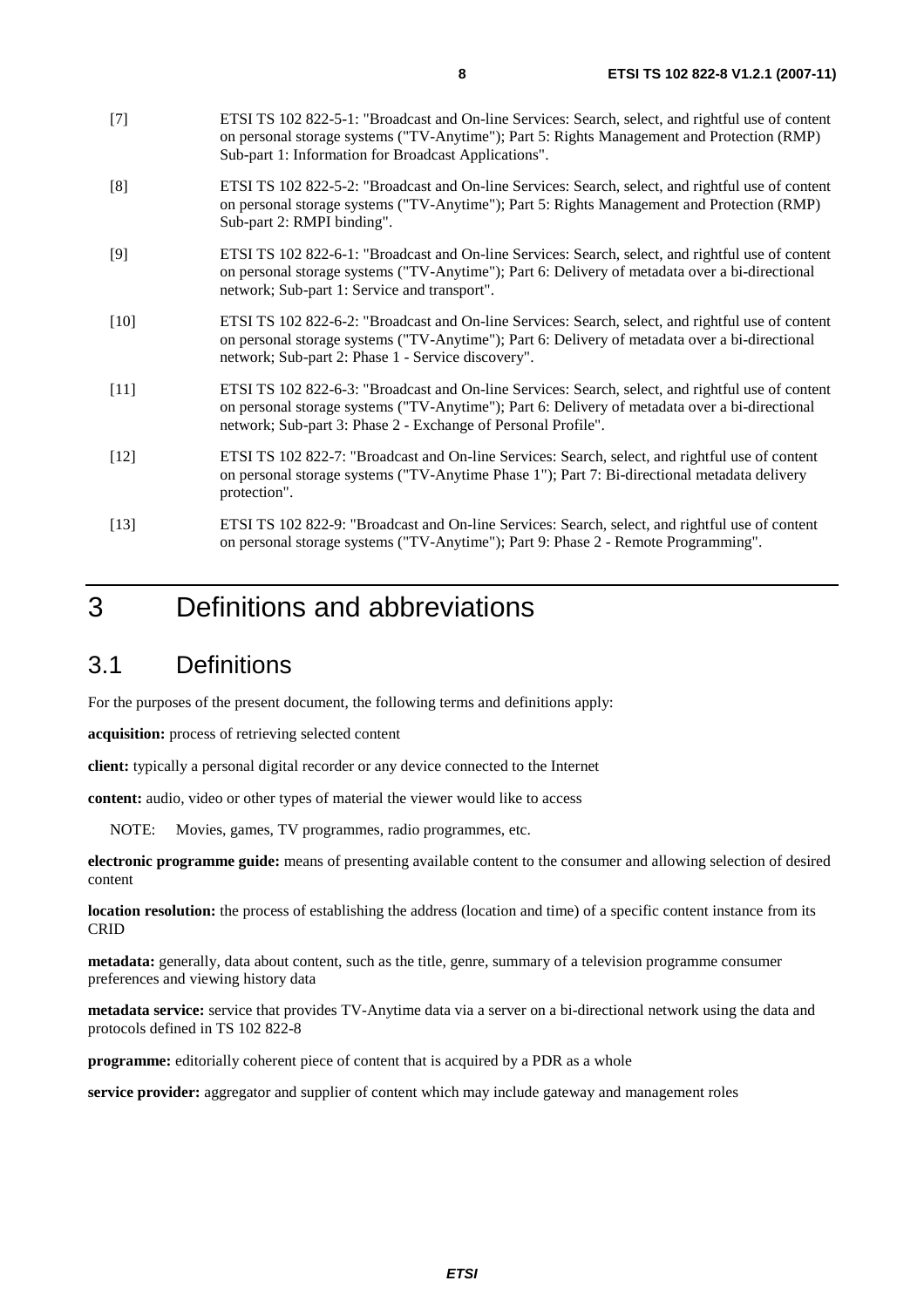- [7] ETSI TS 102 822-5-1: "Broadcast and On-line Services: Search, select, and rightful use of content on personal storage systems ("TV-Anytime"); Part 5: Rights Management and Protection (RMP) Sub-part 1: Information for Broadcast Applications".
- [8] ETSI TS 102 822-5-2: "Broadcast and On-line Services: Search, select, and rightful use of content on personal storage systems ("TV-Anytime"); Part 5: Rights Management and Protection (RMP) Sub-part 2: RMPI binding".
- [9] ETSI TS 102 822-6-1: "Broadcast and On-line Services: Search, select, and rightful use of content on personal storage systems ("TV-Anytime"); Part 6: Delivery of metadata over a bi-directional network; Sub-part 1: Service and transport".
- [10] ETSI TS 102 822-6-2: "Broadcast and On-line Services: Search, select, and rightful use of content on personal storage systems ("TV-Anytime"); Part 6: Delivery of metadata over a bi-directional network; Sub-part 2: Phase 1 - Service discovery".
- [11] ETSI TS 102 822-6-3: "Broadcast and On-line Services: Search, select, and rightful use of content on personal storage systems ("TV-Anytime"); Part 6: Delivery of metadata over a bi-directional network; Sub-part 3: Phase 2 - Exchange of Personal Profile".
- [12] ETSI TS 102 822-7: "Broadcast and On-line Services: Search, select, and rightful use of content on personal storage systems ("TV-Anytime Phase 1"); Part 7: Bi-directional metadata delivery protection".
- [13] ETSI TS 102 822-9: "Broadcast and On-line Services: Search, select, and rightful use of content on personal storage systems ("TV-Anytime"); Part 9: Phase 2 - Remote Programming".

# 3 Definitions and abbreviations

### 3.1 Definitions

For the purposes of the present document, the following terms and definitions apply:

**acquisition:** process of retrieving selected content

**client:** typically a personal digital recorder or any device connected to the Internet

**content:** audio, video or other types of material the viewer would like to access

NOTE: Movies, games, TV programmes, radio programmes, etc.

**electronic programme guide:** means of presenting available content to the consumer and allowing selection of desired content

**location resolution:** the process of establishing the address (location and time) of a specific content instance from its CRID

**metadata:** generally, data about content, such as the title, genre, summary of a television programme consumer preferences and viewing history data

**metadata service:** service that provides TV-Anytime data via a server on a bi-directional network using the data and protocols defined in TS 102 822-8

**programme:** editorially coherent piece of content that is acquired by a PDR as a whole

**service provider:** aggregator and supplier of content which may include gateway and management roles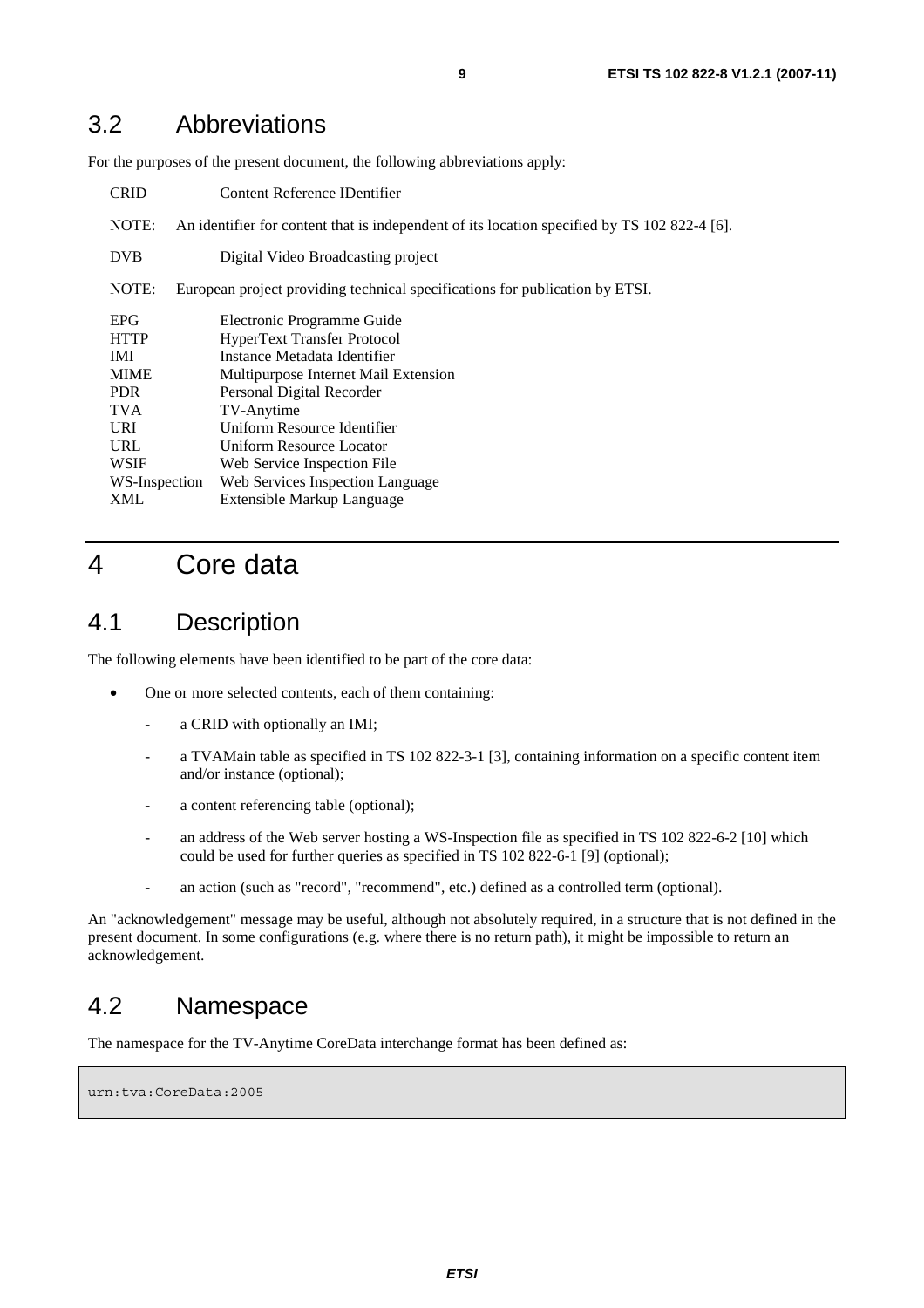#### 3.2 Abbreviations

For the purposes of the present document, the following abbreviations apply:

| <b>CRID</b>   | Content Reference IDentifier                                                                 |  |  |
|---------------|----------------------------------------------------------------------------------------------|--|--|
| NOTE:         | An identifier for content that is independent of its location specified by TS 102 822-4 [6]. |  |  |
| <b>DVB</b>    | Digital Video Broadcasting project                                                           |  |  |
| NOTE:         | European project providing technical specifications for publication by ETSI.                 |  |  |
| <b>EPG</b>    | Electronic Programme Guide                                                                   |  |  |
| <b>HTTP</b>   | <b>HyperText Transfer Protocol</b>                                                           |  |  |
| <b>IMI</b>    | Instance Metadata Identifier                                                                 |  |  |
| <b>MIME</b>   | Multipurpose Internet Mail Extension                                                         |  |  |
| PDR.          | Personal Digital Recorder                                                                    |  |  |
| <b>TVA</b>    | TV-Anytime                                                                                   |  |  |
| <b>URI</b>    | Uniform Resource Identifier                                                                  |  |  |
| URL           | Uniform Resource Locator                                                                     |  |  |
| <b>WSIF</b>   | Web Service Inspection File                                                                  |  |  |
| WS-Inspection | Web Services Inspection Language                                                             |  |  |
| XML           | Extensible Markup Language                                                                   |  |  |

#### 4 Core data

#### 4.1 Description

The following elements have been identified to be part of the core data:

- One or more selected contents, each of them containing:
	- a CRID with optionally an IMI:
	- a TVAMain table as specified in TS 102 822-3-1 [3], containing information on a specific content item and/or instance (optional);
	- a content referencing table (optional);
	- an address of the Web server hosting a WS-Inspection file as specified in TS 102 822-6-2 [10] which could be used for further queries as specified in TS 102 822-6-1 [9] (optional);
	- an action (such as "record", "recommend", etc.) defined as a controlled term (optional).

An "acknowledgement" message may be useful, although not absolutely required, in a structure that is not defined in the present document. In some configurations (e.g. where there is no return path), it might be impossible to return an acknowledgement.

#### 4.2 Namespace

The namespace for the TV-Anytime CoreData interchange format has been defined as:

urn:tva:CoreData:2005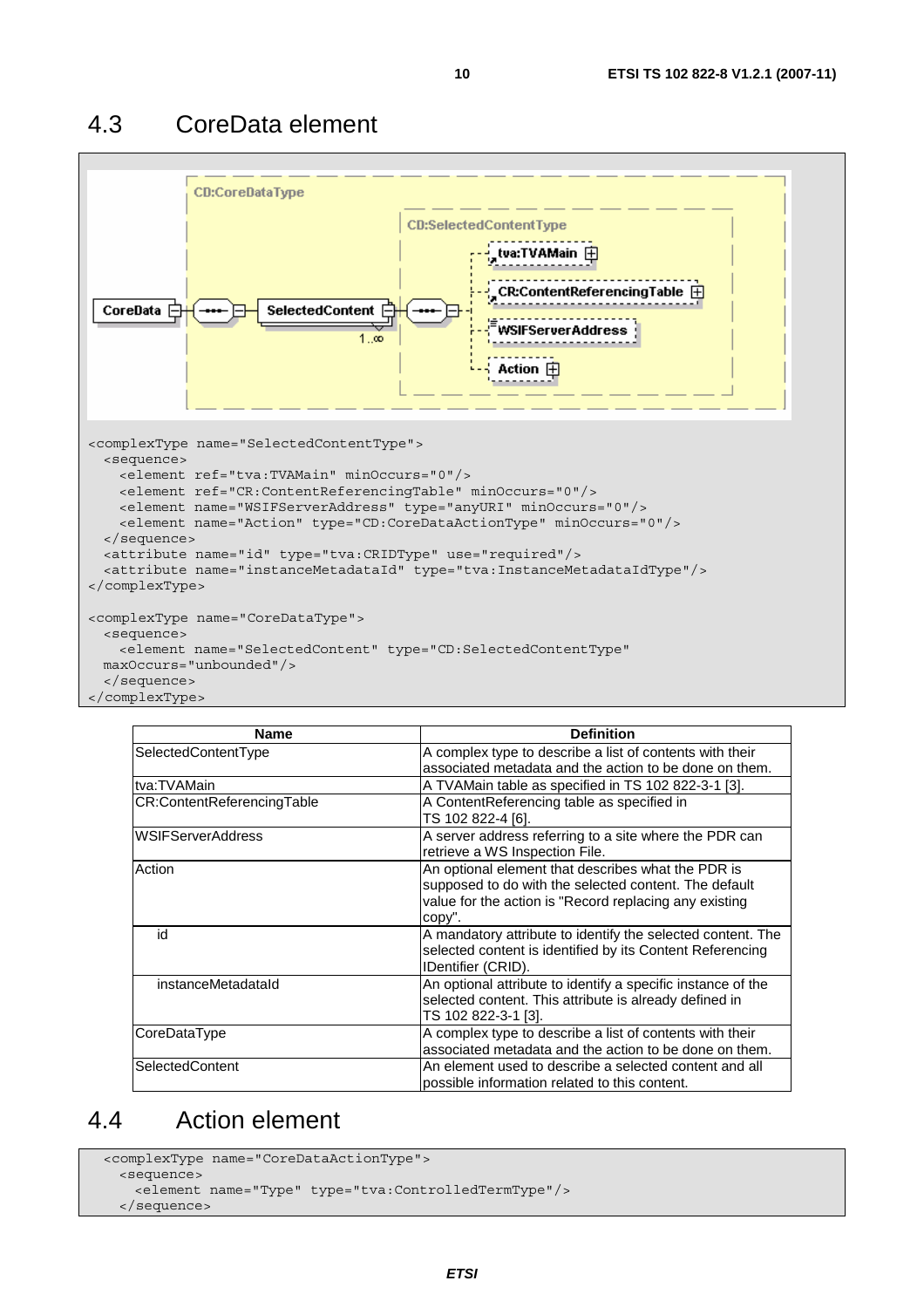#### 4.3 CoreData element



| <b>Name</b>                | <b>Definition</b>                                                                                                                                                               |
|----------------------------|---------------------------------------------------------------------------------------------------------------------------------------------------------------------------------|
| SelectedContentType        | A complex type to describe a list of contents with their<br>associated metadata and the action to be done on them.                                                              |
| tva:TVAMain                | A TVAMain table as specified in TS 102 822-3-1 [3].                                                                                                                             |
| CR:ContentReferencingTable | A ContentReferencing table as specified in<br>TS 102 822-4 [6].                                                                                                                 |
| <b>WSIFServerAddress</b>   | A server address referring to a site where the PDR can<br>retrieve a WS Inspection File.                                                                                        |
| Action                     | An optional element that describes what the PDR is<br>supposed to do with the selected content. The default<br>value for the action is "Record replacing any existing<br>copy". |
| id                         | A mandatory attribute to identify the selected content. The<br>selected content is identified by its Content Referencing<br>IDentifier (CRID).                                  |
| instanceMetadataId         | An optional attribute to identify a specific instance of the<br>selected content. This attribute is already defined in<br>TS 102 822-3-1 [3].                                   |
| CoreDataType               | A complex type to describe a list of contents with their<br>associated metadata and the action to be done on them.                                                              |
| SelectedContent            | An element used to describe a selected content and all<br>possible information related to this content.                                                                         |

#### 4.4 Action element

```
 <complexType name="CoreDataActionType"> 
  <sequence> 
    <element name="Type" type="tva:ControlledTermType"/> 
  </sequence>
```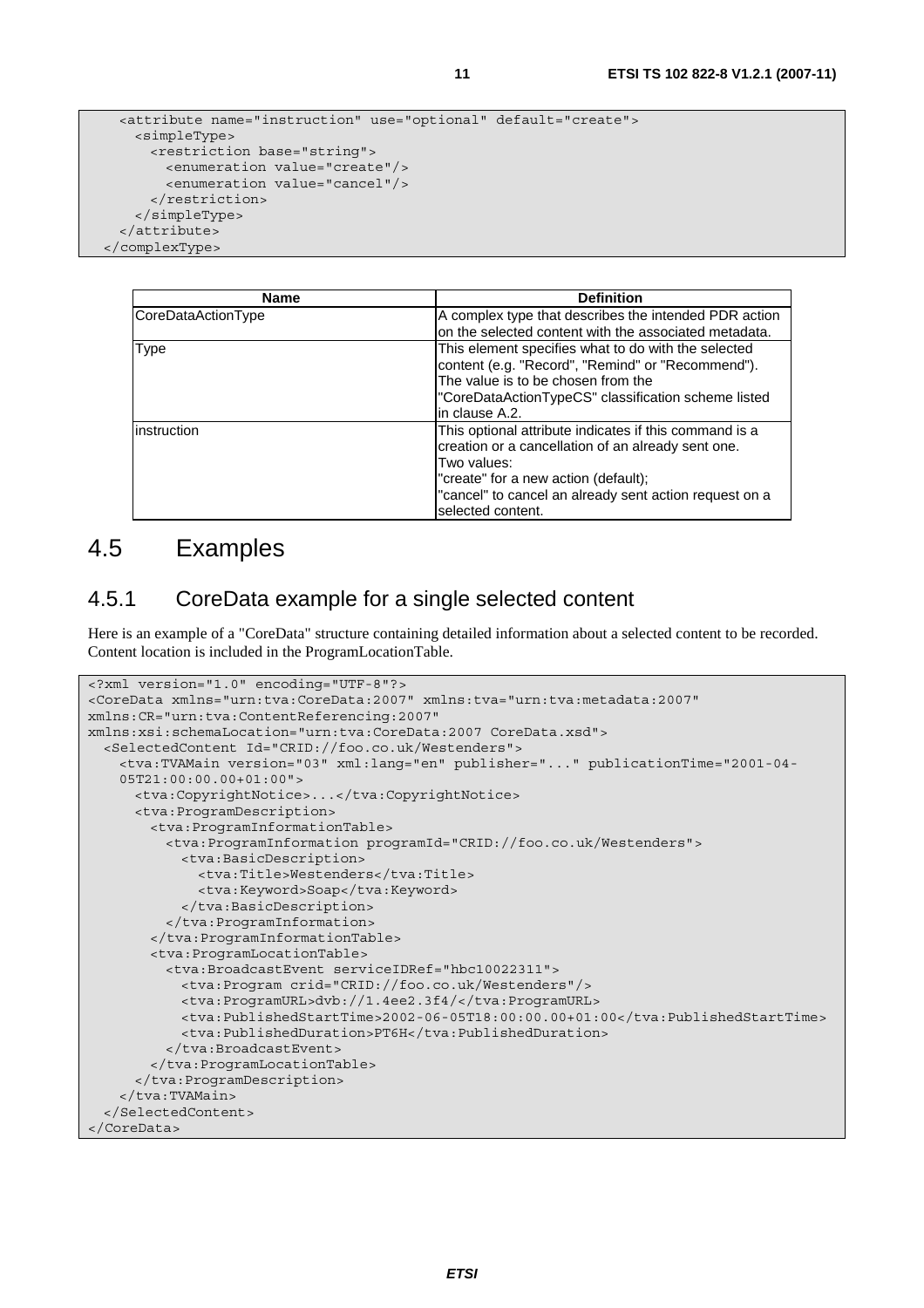```
 <attribute name="instruction" use="optional" default="create"> 
  <simpleType> 
    <restriction base="string"> 
      <enumeration value="create"/> 
       <enumeration value="cancel"/> 
     </restriction> 
  </simpleType>
```
 </attribute> </complexType>

| <b>Name</b>        | <b>Definition</b>                                                                                                                                                                                                                                  |
|--------------------|----------------------------------------------------------------------------------------------------------------------------------------------------------------------------------------------------------------------------------------------------|
| CoreDataActionType | A complex type that describes the intended PDR action<br>on the selected content with the associated metadata.                                                                                                                                     |
| Type               | This element specifies what to do with the selected<br>content (e.g. "Record", "Remind" or "Recommend").<br>The value is to be chosen from the<br>"CoreDataActionTypeCS" classification scheme listed<br>lin clause A.2.                           |
| linstruction       | This optional attribute indicates if this command is a<br>creation or a cancellation of an already sent one.<br>Two values:<br>"create" for a new action (default);<br>"cancel" to cancel an already sent action request on a<br>selected content. |

#### 4.5 Examples

#### 4.5.1 CoreData example for a single selected content

Here is an example of a "CoreData" structure containing detailed information about a selected content to be recorded. Content location is included in the ProgramLocationTable.

```
<?xml version="1.0" encoding="UTF-8"?> 
<CoreData xmlns="urn:tva:CoreData:2007" xmlns:tva="urn:tva:metadata:2007" 
xmlns:CR="urn:tva:ContentReferencing:2007" 
xmlns:xsi:schemaLocation="urn:tva:CoreData:2007 CoreData.xsd"> 
   <SelectedContent Id="CRID://foo.co.uk/Westenders"> 
     <tva:TVAMain version="03" xml:lang="en" publisher="..." publicationTime="2001-04- 
     05T21:00:00.00+01:00"> 
      <tva:CopyrightNotice>...</tva:CopyrightNotice> 
      <tva:ProgramDescription> 
        <tva:ProgramInformationTable> 
          <tva:ProgramInformation programId="CRID://foo.co.uk/Westenders"> 
            <tva:BasicDescription> 
              <tva:Title>Westenders</tva:Title>
               <tva:Keyword>Soap</tva:Keyword> 
            </tva:BasicDescription> 
           </tva:ProgramInformation> 
        </tva:ProgramInformationTable> 
        <tva:ProgramLocationTable> 
          <tva:BroadcastEvent serviceIDRef="hbc10022311"> 
            <tva:Program crid="CRID://foo.co.uk/Westenders"/> 
            <tva:ProgramURL>dvb://1.4ee2.3f4/</tva:ProgramURL> 
            <tva:PublishedStartTime>2002-06-05T18:00:00.00+01:00</tva:PublishedStartTime> 
            <tva:PublishedDuration>PT6H</tva:PublishedDuration> 
          </tva:BroadcastEvent> 
        </tva:ProgramLocationTable> 
       </tva:ProgramDescription> 
     </tva:TVAMain> 
   </SelectedContent> 
</CoreData>
```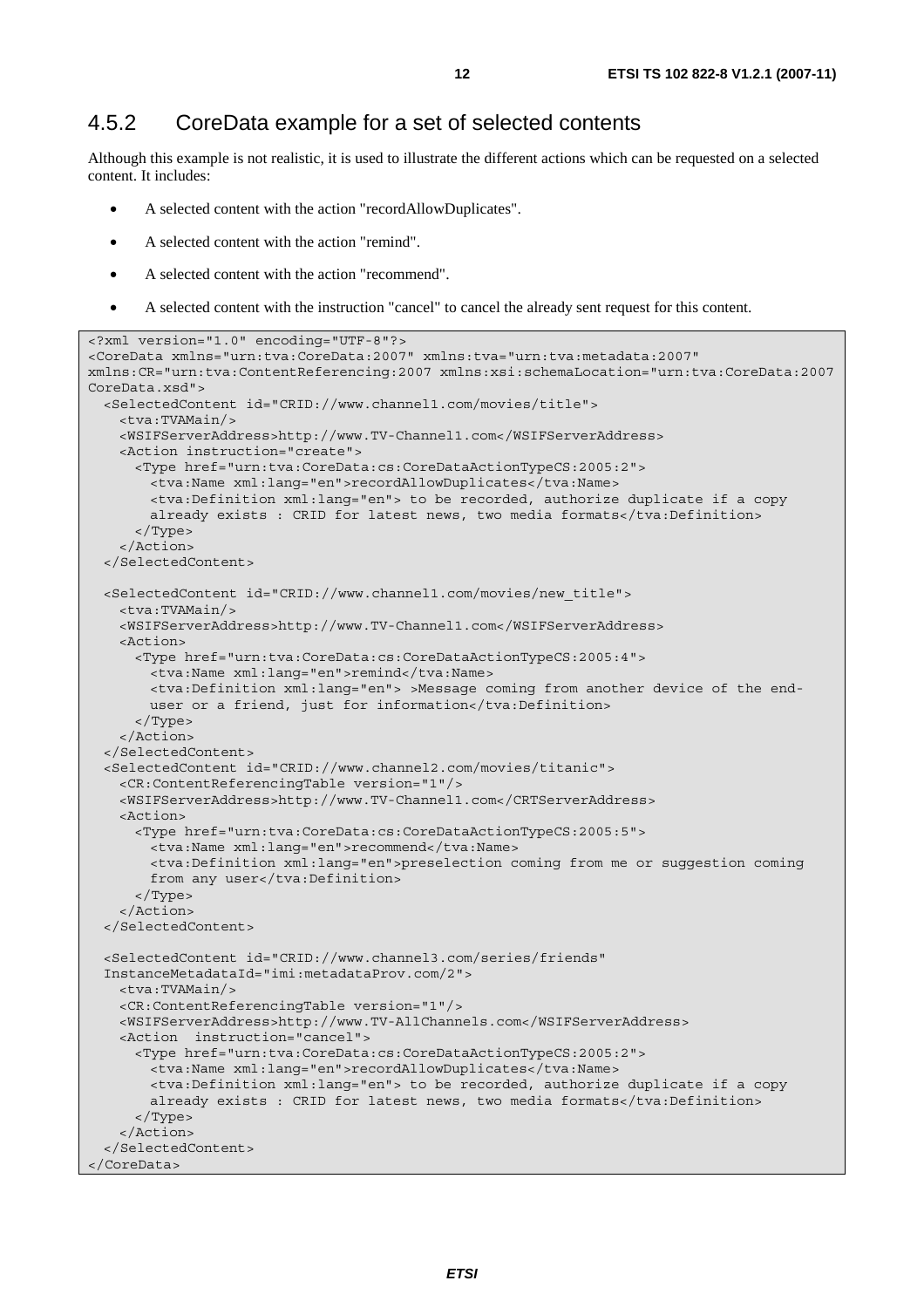#### 4.5.2 CoreData example for a set of selected contents

Although this example is not realistic, it is used to illustrate the different actions which can be requested on a selected content. It includes:

- A selected content with the action "recordAllowDuplicates".
- A selected content with the action "remind".
- A selected content with the action "recommend".
- A selected content with the instruction "cancel" to cancel the already sent request for this content.

```
<?xml version="1.0" encoding="UTF-8"?> 
<CoreData xmlns="urn:tva:CoreData:2007" xmlns:tva="urn:tva:metadata:2007" 
xmlns:CR="urn:tva:ContentReferencing:2007 xmlns:xsi:schemaLocation="urn:tva:CoreData:2007 
CoreData.xsd"> 
   <SelectedContent id="CRID://www.channel1.com/movies/title"> 
    <tva:TVAMain/> 
     <WSIFServerAddress>http://www.TV-Channel1.com</WSIFServerAddress> 
    <Action instruction="create"> 
      <Type href="urn:tva:CoreData:cs:CoreDataActionTypeCS:2005:2"> 
        <tva:Name xml:lang="en">recordAllowDuplicates</tva:Name> 
        <tva:Definition xml:lang="en"> to be recorded, authorize duplicate if a copy 
       already exists : CRID for latest news, two media formats</tva:Definition>
       </Type> 
     </Action> 
   </SelectedContent> 
   <SelectedContent id="CRID://www.channel1.com/movies/new_title"> 
    <tva:TVAMain/> 
    <WSIFServerAddress>http://www.TV-Channel1.com</WSIFServerAddress> 
    <Action> 
       <Type href="urn:tva:CoreData:cs:CoreDataActionTypeCS:2005:4"> 
        <tva:Name xml:lang="en">remind</tva:Name> 
        <tva:Definition xml:lang="en"> >Message coming from another device of the end- 
       user or a friend, just for information</tva:Definition>
      </Type> 
     </Action> 
   </SelectedContent> 
   <SelectedContent id="CRID://www.channel2.com/movies/titanic"> 
    <CR:ContentReferencingTable version="1"/> 
    <WSIFServerAddress>http://www.TV-Channel1.com</CRTServerAddress> 
    <Action> 
      <Type href="urn:tva:CoreData:cs:CoreDataActionTypeCS:2005:5"> 
        <tva:Name xml:lang="en">recommend</tva:Name> 
        <tva:Definition xml:lang="en">preselection coming from me or suggestion coming 
       from any user</tva:Definition>
      </Type> 
     </Action> 
   </SelectedContent> 
   <SelectedContent id="CRID://www.channel3.com/series/friends" 
   InstanceMetadataId="imi:metadataProv.com/2"> 
    <tva:TVAMain/> 
    <CR:ContentReferencingTable version="1"/> 
    <WSIFServerAddress>http://www.TV-AllChannels.com</WSIFServerAddress> 
    <Action instruction="cancel"> 
       <Type href="urn:tva:CoreData:cs:CoreDataActionTypeCS:2005:2"> 
        <tva:Name xml:lang="en">recordAllowDuplicates</tva:Name> 
        <tva:Definition xml:lang="en"> to be recorded, authorize duplicate if a copy 
       already exists : CRID for latest news, two media formats</tva:Definition>
      </Type> 
     </Action> 
   </SelectedContent> 
</CoreData>
```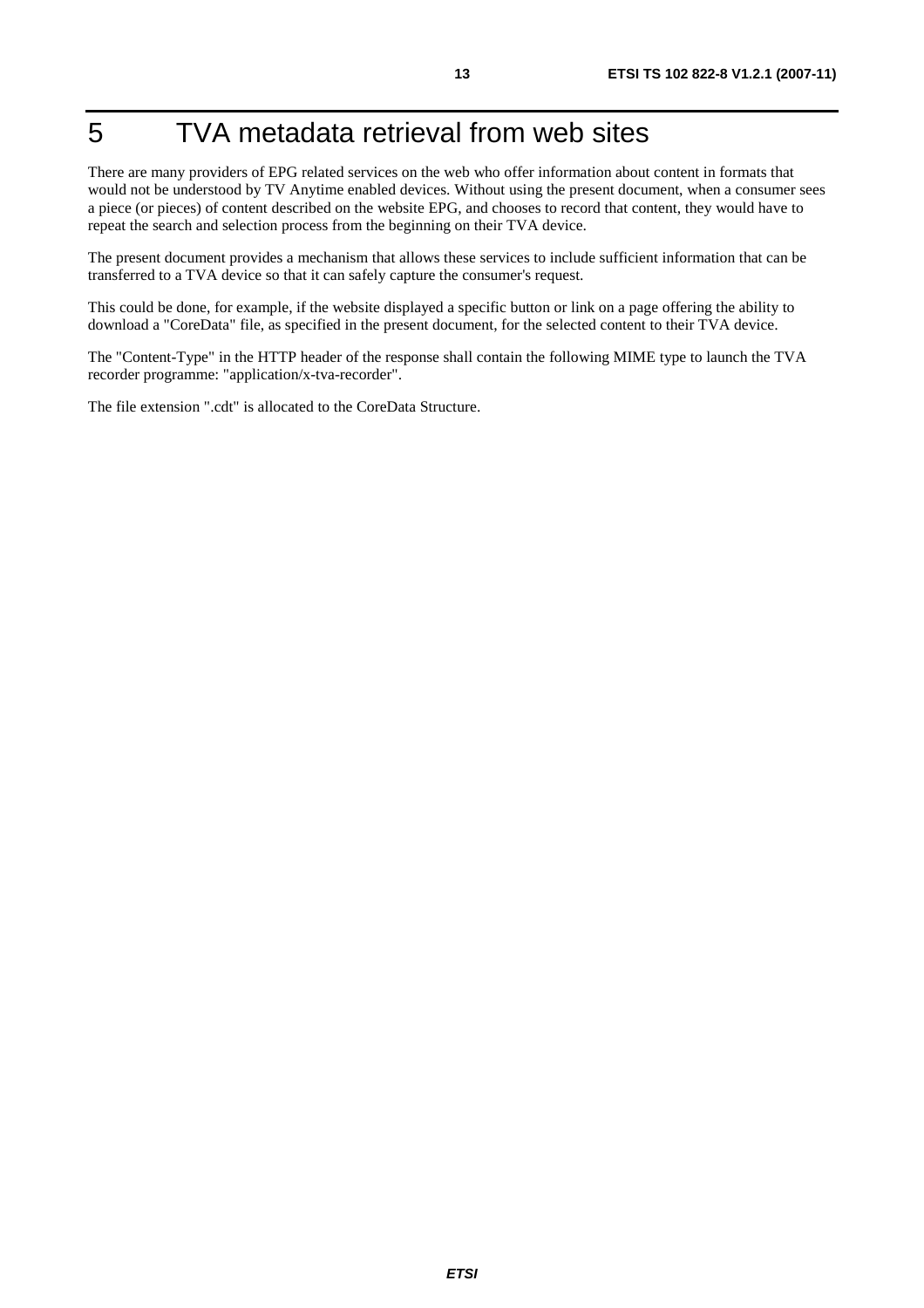# 5 TVA metadata retrieval from web sites

There are many providers of EPG related services on the web who offer information about content in formats that would not be understood by TV Anytime enabled devices. Without using the present document, when a consumer sees a piece (or pieces) of content described on the website EPG, and chooses to record that content, they would have to repeat the search and selection process from the beginning on their TVA device.

The present document provides a mechanism that allows these services to include sufficient information that can be transferred to a TVA device so that it can safely capture the consumer's request.

This could be done, for example, if the website displayed a specific button or link on a page offering the ability to download a "CoreData" file, as specified in the present document, for the selected content to their TVA device.

The "Content-Type" in the HTTP header of the response shall contain the following MIME type to launch the TVA recorder programme: "application/x-tva-recorder".

The file extension ".cdt" is allocated to the CoreData Structure.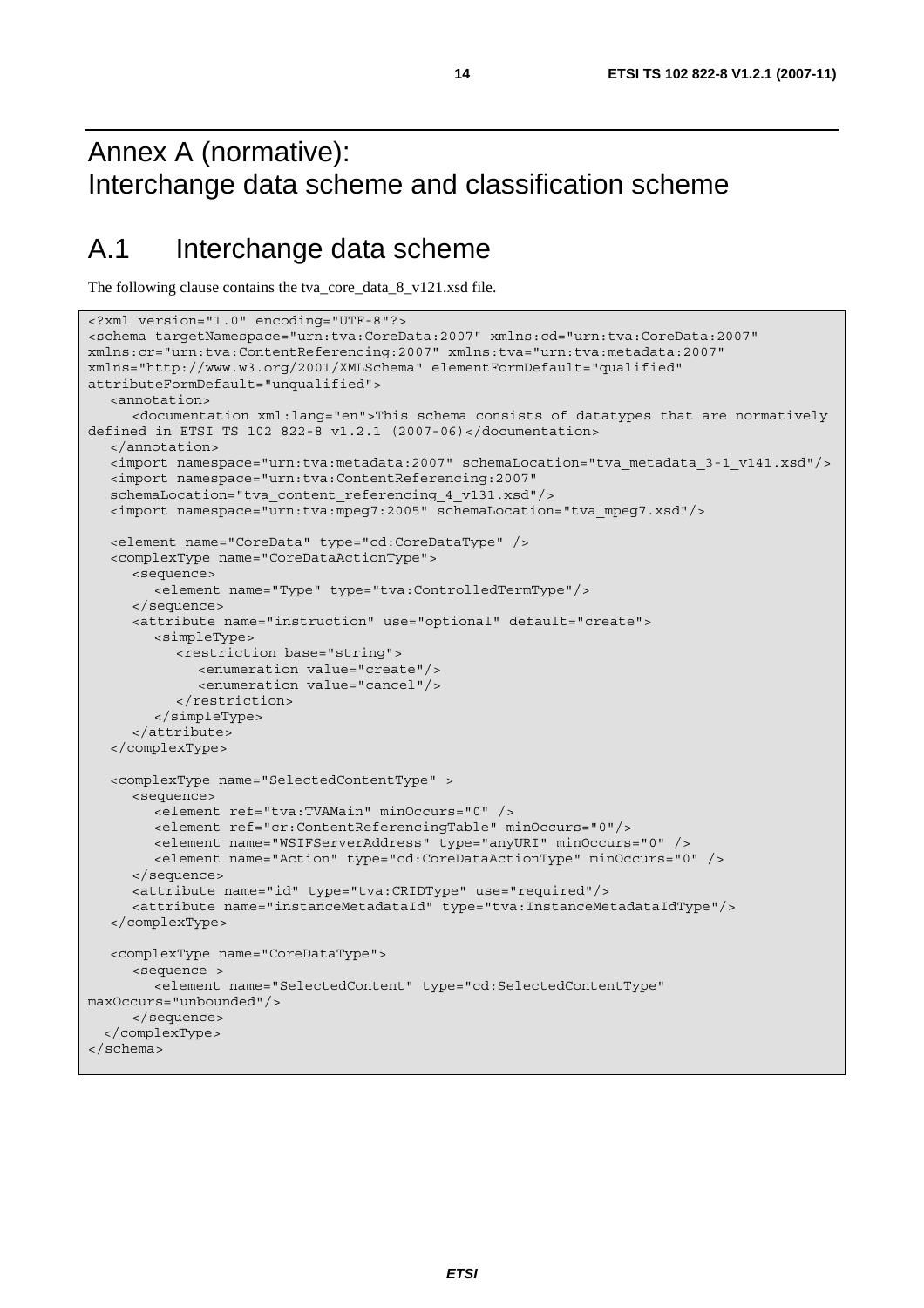### Annex A (normative): Interchange data scheme and classification scheme

### A.1 Interchange data scheme

The following clause contains the tva\_core\_data\_8\_v121.xsd file.

```
<?xml version="1.0" encoding="UTF-8"?> 
<schema targetNamespace="urn:tva:CoreData:2007" xmlns:cd="urn:tva:CoreData:2007" 
xmlns:cr="urn:tva:ContentReferencing:2007" xmlns:tva="urn:tva:metadata:2007" 
xmlns="http://www.w3.org/2001/XMLSchema" elementFormDefault="qualified" 
attributeFormDefault="unqualified"> 
   <annotation> 
      <documentation xml:lang="en">This schema consists of datatypes that are normatively 
defined in ETSI TS 102 822-8 v1.2.1 (2007-06)</documentation> 
   </annotation> 
   <import namespace="urn:tva:metadata:2007" schemaLocation="tva_metadata_3-1_v141.xsd"/> 
   <import namespace="urn:tva:ContentReferencing:2007" 
   schemaLocation="tva_content_referencing_4_v131.xsd"/> 
   <import namespace="urn:tva:mpeg7:2005" schemaLocation="tva_mpeg7.xsd"/> 
   <element name="CoreData" type="cd:CoreDataType" /> 
   <complexType name="CoreDataActionType"> 
      <sequence> 
         <element name="Type" type="tva:ControlledTermType"/> 
      </sequence> 
      <attribute name="instruction" use="optional" default="create"> 
         <simpleType> 
            <restriction base="string"> 
               <enumeration value="create"/> 
               <enumeration value="cancel"/> 
            </restriction> 
         </simpleType> 
      </attribute> 
   </complexType> 
   <complexType name="SelectedContentType" > 
      <sequence> 
         <element ref="tva:TVAMain" minOccurs="0" /> 
         <element ref="cr:ContentReferencingTable" minOccurs="0"/> 
         <element name="WSIFServerAddress" type="anyURI" minOccurs="0" /> 
         <element name="Action" type="cd:CoreDataActionType" minOccurs="0" /> 
      </sequence> 
      <attribute name="id" type="tva:CRIDType" use="required"/> 
      <attribute name="instanceMetadataId" type="tva:InstanceMetadataIdType"/> 
   </complexType> 
   <complexType name="CoreDataType"> 
      <sequence > 
         <element name="SelectedContent" type="cd:SelectedContentType" 
maxOccurs="unbounded"/> 
      </sequence> 
   </complexType> 
</schema>
```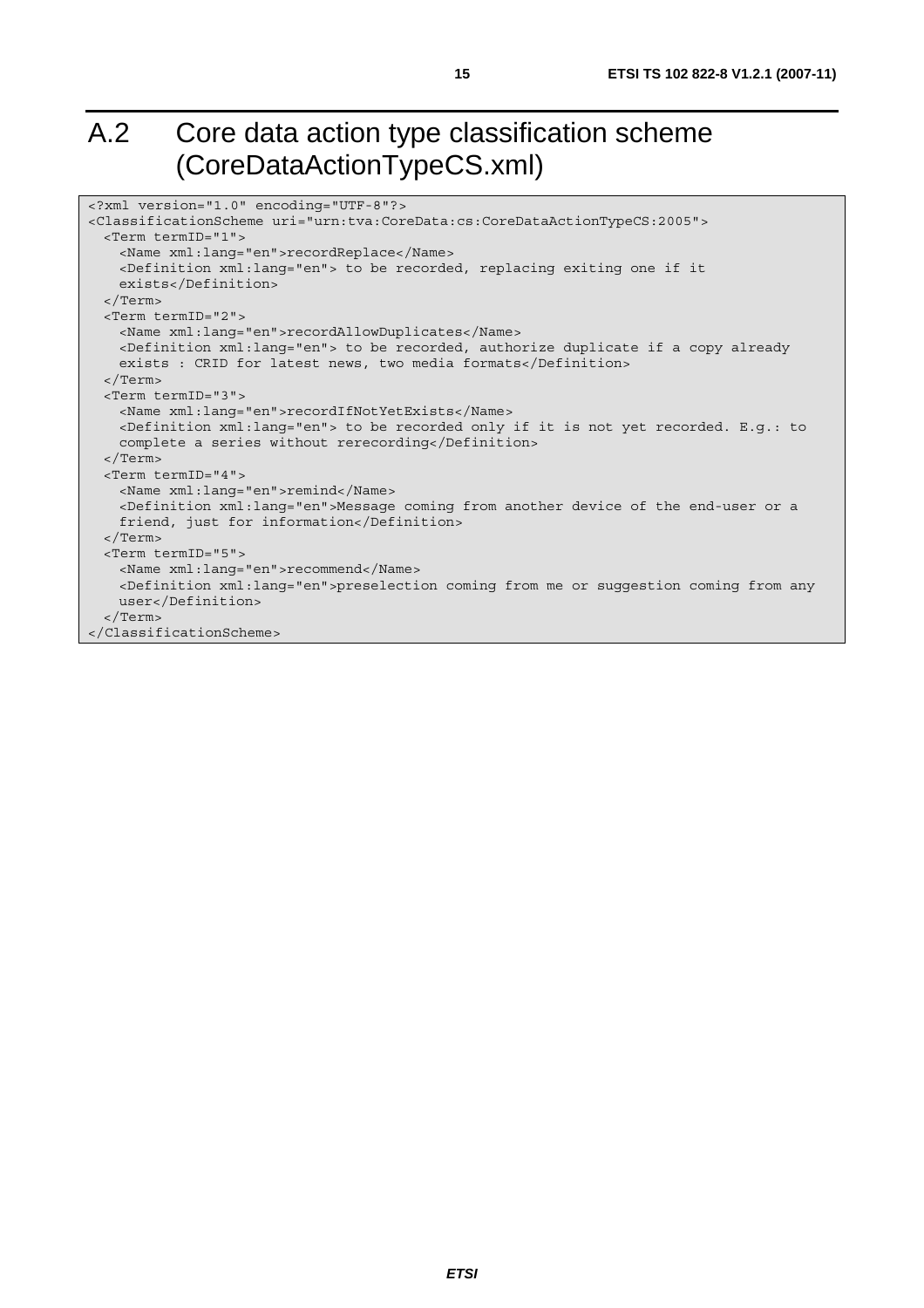# A.2 Core data action type classification scheme (CoreDataActionTypeCS.xml)

| xml version="1.0" encoding="UTF-8"?                                                               |
|---------------------------------------------------------------------------------------------------|
| <classificationscheme uri="urn:tva:CoreData:cs:CoreDataActionTypeCS:2005"></classificationscheme> |
| <term termid="1"></term>                                                                          |
| <name xml:lang="en">recordReplace</name>                                                          |
| <definition xml:lang="en"> to be recorded, replacing exiting one if it</definition>               |
| exists                                                                                            |
| $\langle$ Term>                                                                                   |
| <term termid="2"></term>                                                                          |
| <name xml:lanq="en">recordAllowDuplicates</name>                                                  |
| <definition xml:lang="en"> to be recorded, authorize duplicate if a copy already</definition>     |
| exists: CRID for latest news, two media formats                                                   |
| $\langle$ Term>                                                                                   |
| <term termid="3"></term>                                                                          |
| <name xml:lang="en">recordIfNotYetExists</name>                                                   |
| <definition xml:lang="en"> to be recorded only if it is not yet recorded. E.g.: to</definition>   |
| complete a series without rerecording                                                             |
| $\langle$ Term>                                                                                   |
| <term termid="4"></term>                                                                          |
| <name xml:lang="en">remind</name>                                                                 |
| <definition xml:lang="en">Message coming from another device of the end-user or a</definition>    |
| friend, just for information                                                                      |
| $\langle$ Term>                                                                                   |
| <term termid="5"></term>                                                                          |
| <name xml:lang="en">recommend</name>                                                              |
| <definition xml:lang="en">preselection coming from me or suggestion coming from any</definition>  |
| user                                                                                              |
| $\langle$ Term>                                                                                   |
|                                                                                                   |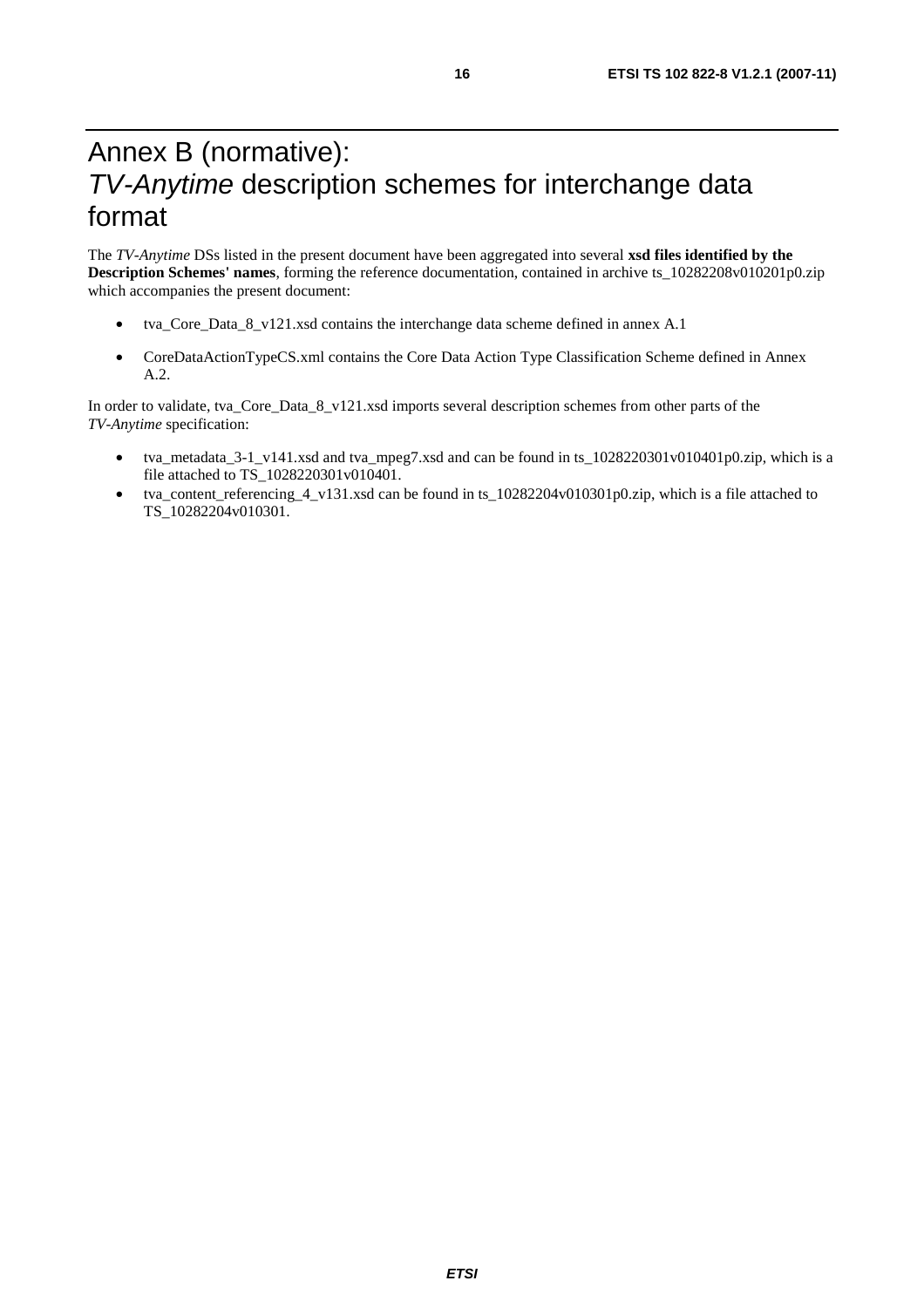### Annex B (normative): *TV-Anytime* description schemes for interchange data format

The *TV-Anytime* DSs listed in the present document have been aggregated into several **xsd files identified by the Description Schemes' names**, forming the reference documentation, contained in archive ts\_10282208v010201p0.zip which accompanies the present document:

- tva\_Core\_Data\_8\_v121.xsd contains the interchange data scheme defined in annex A.1
- CoreDataActionTypeCS.xml contains the Core Data Action Type Classification Scheme defined in Annex A.2.

In order to validate, tva\_Core\_Data\_8\_v121.xsd imports several description schemes from other parts of the *TV-Anytime* specification:

- tva\_metadata\_3-1\_v141.xsd and tva\_mpeg7.xsd and can be found in ts\_1028220301v010401p0.zip, which is a file attached to TS\_1028220301v010401.
- tva\_content\_referencing\_4\_v131.xsd can be found in ts\_10282204v010301p0.zip, which is a file attached to TS\_10282204v010301.